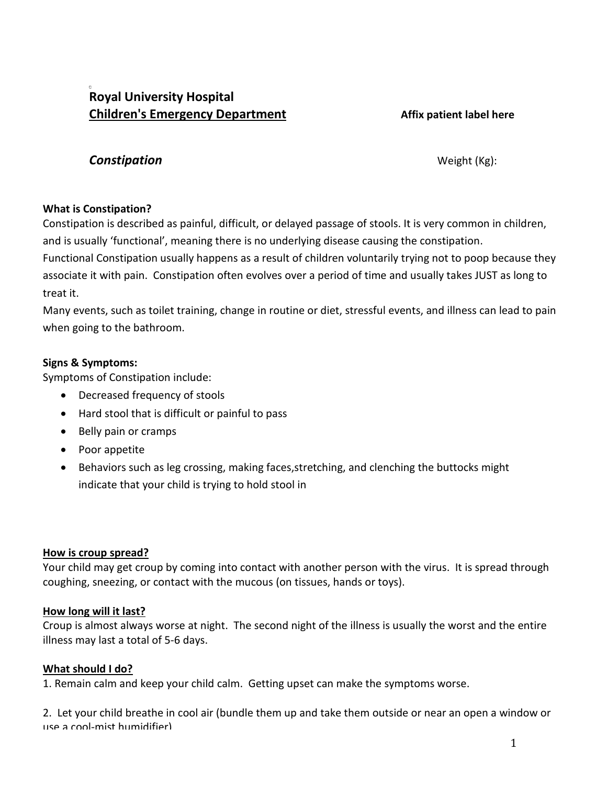# **Royal University Hospital Children's Emergency Department Affix patient label here**

# **Constipation** Weight (Kg):

# **What is Constipation?**

Constipation is described as painful, difficult, or delayed passage of stools. It is very common in children, and is usually 'functional', meaning there is no underlying disease causing the constipation.

Functional Constipation usually happens as a result of children voluntarily trying not to poop because they associate it with pain. Constipation often evolves over a period of time and usually takes JUST as long to treat it.

Many events, such as toilet training, change in routine or diet, stressful events, and illness can lead to pain when going to the bathroom.

## **Signs & Symptoms:**

Symptoms of Constipation include:

- Decreased frequency of stools
- Hard stool that is difficult or painful to pass
- Belly pain or cramps
- Poor appetite
- Behaviors such as leg crossing, making faces,stretching, and clenching the buttocks might indicate that your child is trying to hold stool in

### **How is croup spread?**

Your child may get croup by coming into contact with another person with the virus. It is spread through coughing, sneezing, or contact with the mucous (on tissues, hands or toys).

### **How long will it last?**

Croup is almost always worse at night. The second night of the illness is usually the worst and the entire illness may last a total of 5-6 days.

# **What should I do?**

1. Remain calm and keep your child calm. Getting upset can make the symptoms worse.

2. Let your child breathe in cool air (bundle them up and take them outside or near an open a window or use a cool-mist humidifier)